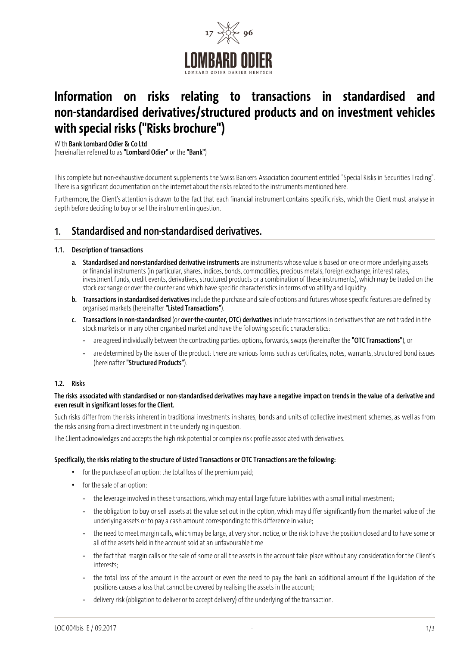

# Information on risks relating to transactions in standardised and non-standardised derivatives/structured products and on investment vehicles with special risks ("Risks brochure")

With Bank Lombard Odier & Co Ltd

(hereinafter referred to as "Lombard Odier" or the "Bank")

This complete but non-exhaustive document supplements the Swiss Bankers Association document entitled "Special Risks in Securities Trading". There is a significant documentation on the internet about the risks related to the instruments mentioned here.

Furthermore, the Client's attention is drawn to the fact that each financial instrument contains specific risks, which the Client must analyse in depth before deciding to buy or sell the instrument in question.

# 1. Standardised and non-standardised derivatives.

#### 1.1. Description of transactions

- a. Standardised and non-standardised derivative instruments are instruments whose value is based on one or more underlying assets or financial instruments (in particular, shares, indices, bonds, commodities, precious metals, foreign exchange, interest rates, investment funds, credit events, derivatives, structured products or a combination of these instruments), which may be traded on the stock exchange or over the counter and which have specific characteristics in terms of volatility and liquidity.
- b. Transactions in standardised derivatives include the purchase and sale of options and futures whose specific features are defined by organised markets (hereinafter "Listed Transactions").
- c. Transactions in non-standardised (or over-the-counter, OTC) derivatives include transactions in derivatives that are not traded in the stock markets or in any other organised market and have the following specific characteristics:
	- are agreed individually between the contracting parties: options, forwards, swaps (hereinafter the "OTC Transactions"), or
	- are determined by the issuer of the product: there are various forms such as certificates, notes, warrants, structured bond issues (hereinafter "Structured Products").

### 1.2. Risks

#### The risks associated with standardised or non-standardised derivatives may have a negative impact on trends in the value of a derivative and even result in significant losses for the Client.

Such risks differ from the risks inherent in traditional investments in shares, bonds and units of collective investment schemes, as well as from the risks arising from a direct investment in the underlying in question.

The Client acknowledges and accepts the high risk potential or complex risk profile associated with derivatives.

#### Specifically, the risks relating to the structure of Listed Transactions or OTC Transactions are the following:

- for the purchase of an option: the total loss of the premium paid;
- for the sale of an option:
	- the leverage involved in these transactions, which may entail large future liabilities with a small initial investment;
	- the obligation to buy or sell assets at the value set out in the option, which may differ significantly from the market value of the underlying assets or to pay a cash amount corresponding to this difference in value;
	- the need to meet margin calls, which may be large, at very short notice, or the risk to have the position closed and to have some or all of the assets held in the account sold at an unfavourable time
	- the fact that margin calls or the sale of some or all the assets in the account take place without any consideration for the Client's interests;
	- the total loss of the amount in the account or even the need to pay the bank an additional amount if the liquidation of the positions causes a loss that cannot be covered by realising the assets in the account;
	- delivery risk (obligation to deliver or to accept delivery) of the underlying of the transaction.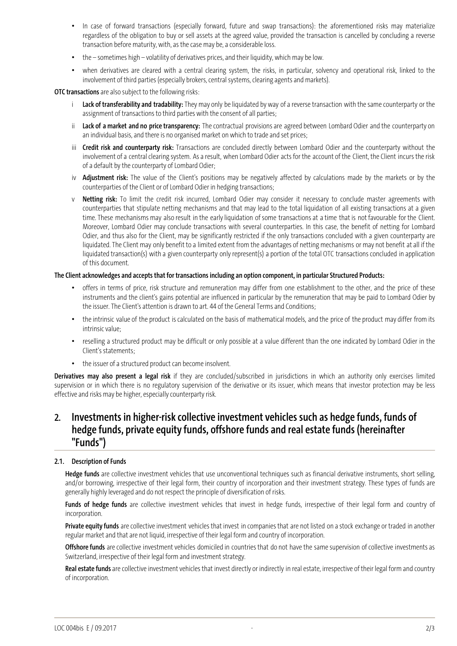- In case of forward transactions (especially forward, future and swap transactions): the aforementioned risks may materialize regardless of the obligation to buy or sell assets at the agreed value, provided the transaction is cancelled by concluding a reverse transaction before maturity, with, as the case may be, a considerable loss.
- the sometimes high volatility of derivatives prices, and their liquidity, which may be low.
- when derivatives are cleared with a central clearing system, the risks, in particular, solvency and operational risk, linked to the involvement of third parties (especially brokers, central systems, clearing agents and markets).

**OTC transactions** are also subject to the following risks:

- i Lack of transferability and tradability: They may only be liquidated by way of a reverse transaction with the same counterparty or the assignment of transactions to third parties with the consent of all parties;
- ii Lack of a market and no price transparency: The contractual provisions are agreed between Lombard Odier and the counterparty on an individual basis, and there is no organised market on which to trade and set prices;
- iii Credit risk and counterparty risk: Transactions are concluded directly between Lombard Odier and the counterparty without the involvement of a central clearing system. As a result, when Lombard Odier acts for the account of the Client, the Client incurs the risk of a default by the counterparty of Lombard Odier;
- iv Adjustment risk: The value of the Client's positions may be negatively affected by calculations made by the markets or by the counterparties of the Client or of Lombard Odier in hedging transactions;
- v Netting risk: To limit the credit risk incurred, Lombard Odier may consider it necessary to conclude master agreements with counterparties that stipulate netting mechanisms and that may lead to the total liquidation of all existing transactions at a given time. These mechanisms may also result in the early liquidation of some transactions at a time that is not favourable for the Client. Moreover, Lombard Odier may conclude transactions with several counterparties. In this case, the benefit of netting for Lombard Odier, and thus also for the Client, may be significantly restricted if the only transactions concluded with a given counterparty are liquidated. The Client may only benefit to a limited extent from the advantages of netting mechanisms or may not benefit at all if the liquidated transaction(s) with a given counterparty only represent(s) a portion of the total OTC transactions concluded in application of this document.

#### The Client acknowledges and accepts that for transactions including an option component, in particular Structured Products:

- offers in terms of price, risk structure and remuneration may differ from one establishment to the other, and the price of these instruments and the client's gains potential are influenced in particular by the remuneration that may be paid to Lombard Odier by the issuer. The Client's attention is drawn to art. 44 of the General Terms and Conditions;
- the intrinsic value of the product is calculated on the basis of mathematical models, and the price of the product may differ from its intrinsic value;
- reselling a structured product may be difficult or only possible at a value different than the one indicated by Lombard Odier in the Client's statements;
- the issuer of a structured product can become insolvent.

Derivatives may also present a legal risk if they are concluded/subscribed in jurisdictions in which an authority only exercises limited supervision or in which there is no regulatory supervision of the derivative or its issuer, which means that investor protection may be less effective and risks may be higher, especially counterparty risk.

# 2. Investments in higher-risk collective investment vehicles such as hedge funds, funds of hedge funds, private equity funds, offshore funds and real estate funds (hereinafter "Funds")

### 2.1. Description of Funds

Hedge funds are collective investment vehicles that use unconventional techniques such as financial derivative instruments, short selling, and/or borrowing, irrespective of their legal form, their country of incorporation and their investment strategy. These types of funds are generally highly leveraged and do not respect the principle of diversification of risks.

Funds of hedge funds are collective investment vehicles that invest in hedge funds, irrespective of their legal form and country of incorporation.

Private equity funds are collective investment vehicles that invest in companies that are not listed on a stock exchange or traded in another regular market and that are not liquid, irrespective of their legal form and country of incorporation.

Offshore funds are collective investment vehicles domiciled in countries that do not have the same supervision of collective investments as Switzerland, irrespective of their legal form and investment strategy.

Real estate funds are collective investment vehicles that invest directly or indirectly in real estate, irrespective of their legal form and country of incorporation.